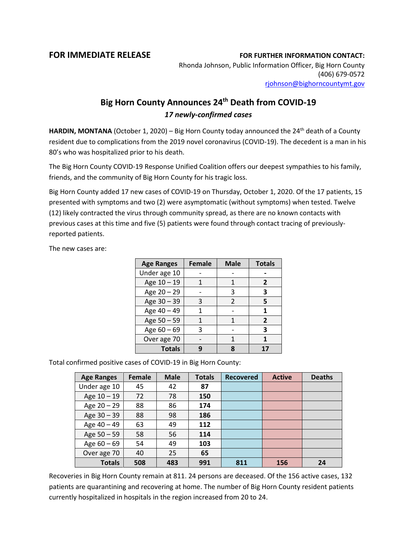## **FOR IMMEDIATE RELEASE FOR FURTHER INFORMATION CONTACT:**

Rhonda Johnson, Public Information Officer, Big Horn County (406) 679-0572 [rjohnson@bighorncountymt.gov](mailto:rjohnson@bighorncountymt.gov)

## **Big Horn County Announces 24th Death from COVID-19** *17 newly-confirmed cases*

HARDIN, MONTANA (October 1, 2020) – Big Horn County today announced the 24<sup>th</sup> death of a County resident due to complications from the 2019 novel coronavirus (COVID-19). The decedent is a man in his 80's who was hospitalized prior to his death.

The Big Horn County COVID-19 Response Unified Coalition offers our deepest sympathies to his family, friends, and the community of Big Horn County for his tragic loss.

Big Horn County added 17 new cases of COVID-19 on Thursday, October 1, 2020. Of the 17 patients, 15 presented with symptoms and two (2) were asymptomatic (without symptoms) when tested. Twelve (12) likely contracted the virus through community spread, as there are no known contacts with previous cases at this time and five (5) patients were found through contact tracing of previouslyreported patients.

The new cases are:

| <b>Age Ranges</b> | <b>Female</b> | <b>Male</b>    | <b>Totals</b> |  |
|-------------------|---------------|----------------|---------------|--|
| Under age 10      |               |                |               |  |
| Age 10 - 19       |               | 1              | 2             |  |
| Age 20 - 29       |               | 3              | 3             |  |
| Age 30 - 39       | 3             | $\mathfrak{p}$ | 5             |  |
| Age 40 - 49       |               |                | 1             |  |
| Age $50 - 59$     |               |                | $\mathbf{z}$  |  |
| Age $60 - 69$     | ς             |                | 3             |  |
| Over age 70       |               |                |               |  |
| <b>Totals</b>     |               |                |               |  |

Total confirmed positive cases of COVID-19 in Big Horn County:

| <b>Age Ranges</b> | Female | <b>Male</b> | <b>Totals</b> | <b>Recovered</b> | <b>Active</b> | <b>Deaths</b> |
|-------------------|--------|-------------|---------------|------------------|---------------|---------------|
| Under age 10      | 45     | 42          | 87            |                  |               |               |
| Age 10 - 19       | 72     | 78          | 150           |                  |               |               |
| Age $20 - 29$     | 88     | 86          | 174           |                  |               |               |
| Age 30 - 39       | 88     | 98          | 186           |                  |               |               |
| Age 40 - 49       | 63     | 49          | 112           |                  |               |               |
| Age 50 - 59       | 58     | 56          | 114           |                  |               |               |
| Age $60 - 69$     | 54     | 49          | 103           |                  |               |               |
| Over age 70       | 40     | 25          | 65            |                  |               |               |
| <b>Totals</b>     | 508    | 483         | 991           | 811              | 156           | 24            |

Recoveries in Big Horn County remain at 811. 24 persons are deceased. Of the 156 active cases, 132 patients are quarantining and recovering at home. The number of Big Horn County resident patients currently hospitalized in hospitals in the region increased from 20 to 24.